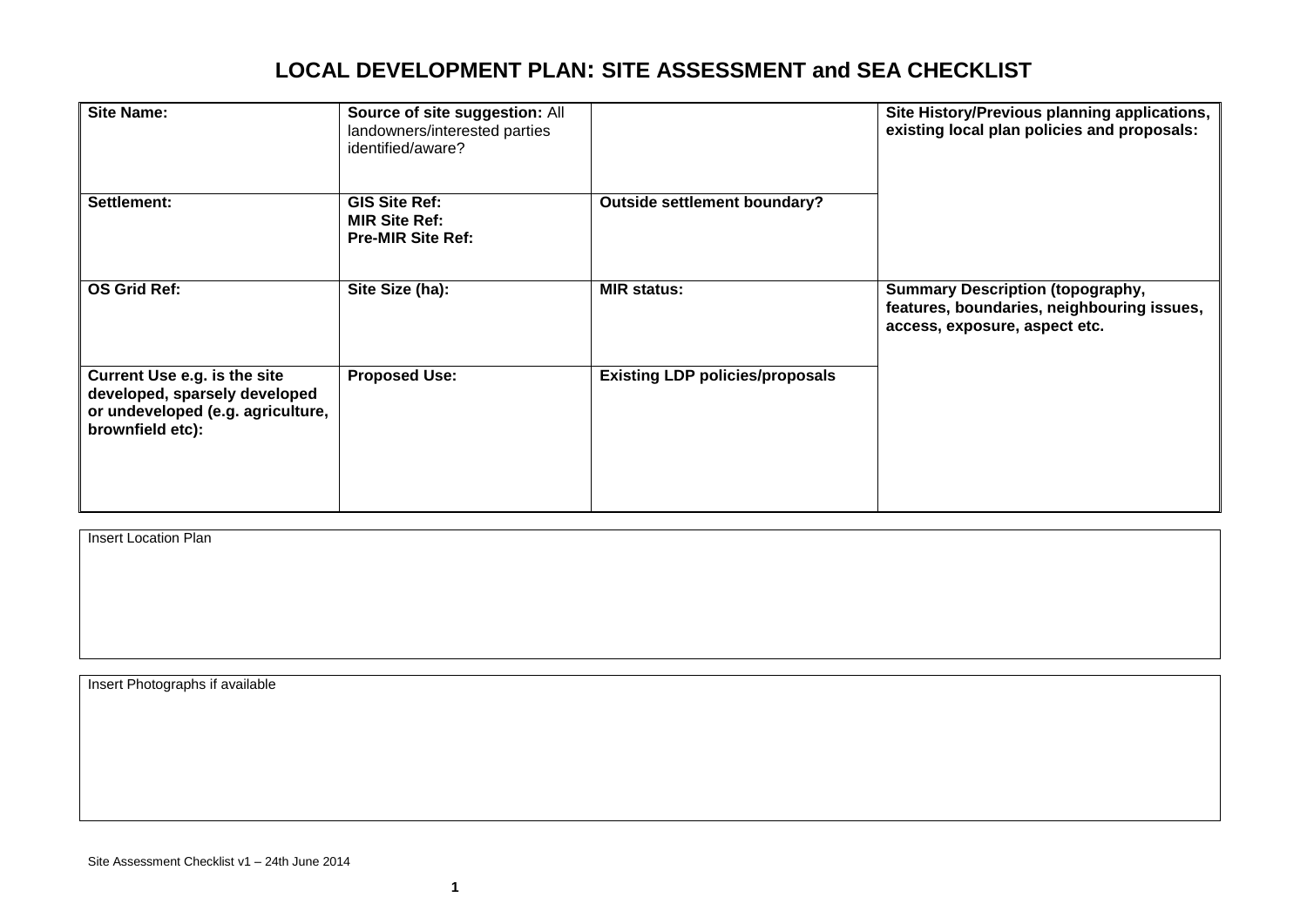| <b>Site Name:</b>                                                                                                      | Source of site suggestion: All<br>landowners/interested parties<br>identified/aware? |                                        | Site History/Previous planning applications,<br>existing local plan policies and proposals:                            |  |
|------------------------------------------------------------------------------------------------------------------------|--------------------------------------------------------------------------------------|----------------------------------------|------------------------------------------------------------------------------------------------------------------------|--|
| Settlement:                                                                                                            | <b>GIS Site Ref:</b><br><b>MIR Site Ref:</b><br><b>Pre-MIR Site Ref:</b>             | <b>Outside settlement boundary?</b>    |                                                                                                                        |  |
| <b>OS Grid Ref:</b>                                                                                                    | Site Size (ha):                                                                      | <b>MIR status:</b>                     | <b>Summary Description (topography,</b><br>features, boundaries, neighbouring issues,<br>access, exposure, aspect etc. |  |
| Current Use e.g. is the site<br>developed, sparsely developed<br>or undeveloped (e.g. agriculture,<br>brownfield etc): | <b>Proposed Use:</b>                                                                 | <b>Existing LDP policies/proposals</b> |                                                                                                                        |  |

**Insert Location Plan** 

Insert Photographs if available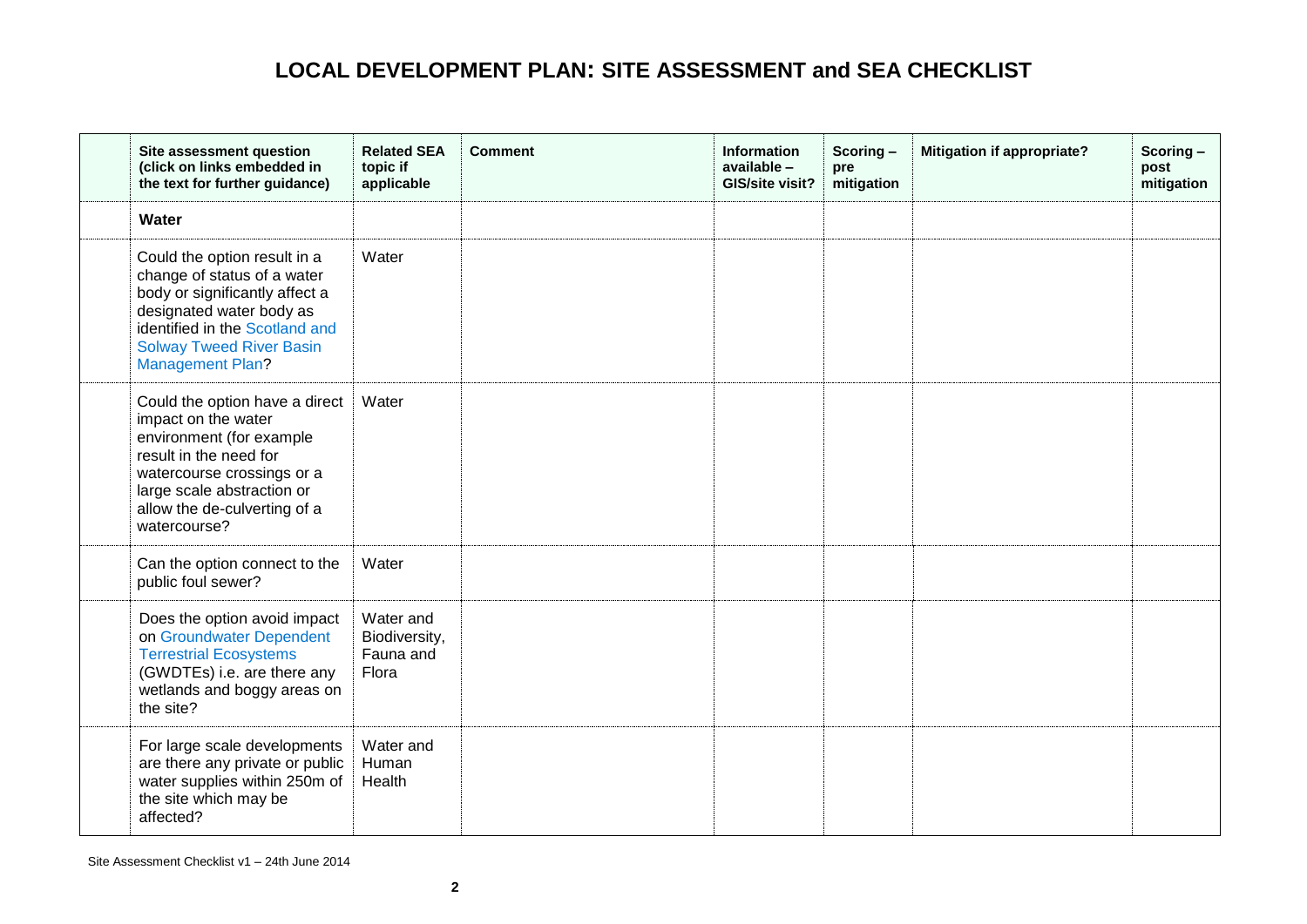<span id="page-1-0"></span>

| Site assessment question<br>(click on links embedded in<br>the text for further guidance)                                                                                                                                 | <b>Related SEA</b><br>topic if<br>applicable     | <b>Comment</b> | <b>Information</b><br>available -<br>GIS/site visit? | Scoring-<br>pre<br>mitigation | <b>Mitigation if appropriate?</b> | Scoring-<br>post<br>mitigation |
|---------------------------------------------------------------------------------------------------------------------------------------------------------------------------------------------------------------------------|--------------------------------------------------|----------------|------------------------------------------------------|-------------------------------|-----------------------------------|--------------------------------|
| Water                                                                                                                                                                                                                     |                                                  |                |                                                      |                               |                                   |                                |
| Could the option result in a<br>change of status of a water<br>body or significantly affect a<br>designated water body as<br>identified in the Scotland and<br><b>Solway Tweed River Basin</b><br><b>Management Plan?</b> | Water                                            |                |                                                      |                               |                                   |                                |
| Could the option have a direct<br>impact on the water<br>environment (for example<br>result in the need for<br>watercourse crossings or a<br>large scale abstraction or<br>allow the de-culverting of a<br>watercourse?   | Water                                            |                |                                                      |                               |                                   |                                |
| Can the option connect to the<br>public foul sewer?                                                                                                                                                                       | Water                                            |                |                                                      |                               |                                   |                                |
| Does the option avoid impact<br>on Groundwater Dependent<br><b>Terrestrial Ecosystems</b><br>(GWDTEs) i.e. are there any<br>wetlands and boggy areas on<br>the site?                                                      | Water and<br>Biodiversity,<br>Fauna and<br>Flora |                |                                                      |                               |                                   |                                |
| For large scale developments<br>are there any private or public<br>water supplies within 250m of<br>the site which may be<br>affected?                                                                                    | Water and<br>Human<br>Health                     |                |                                                      |                               |                                   |                                |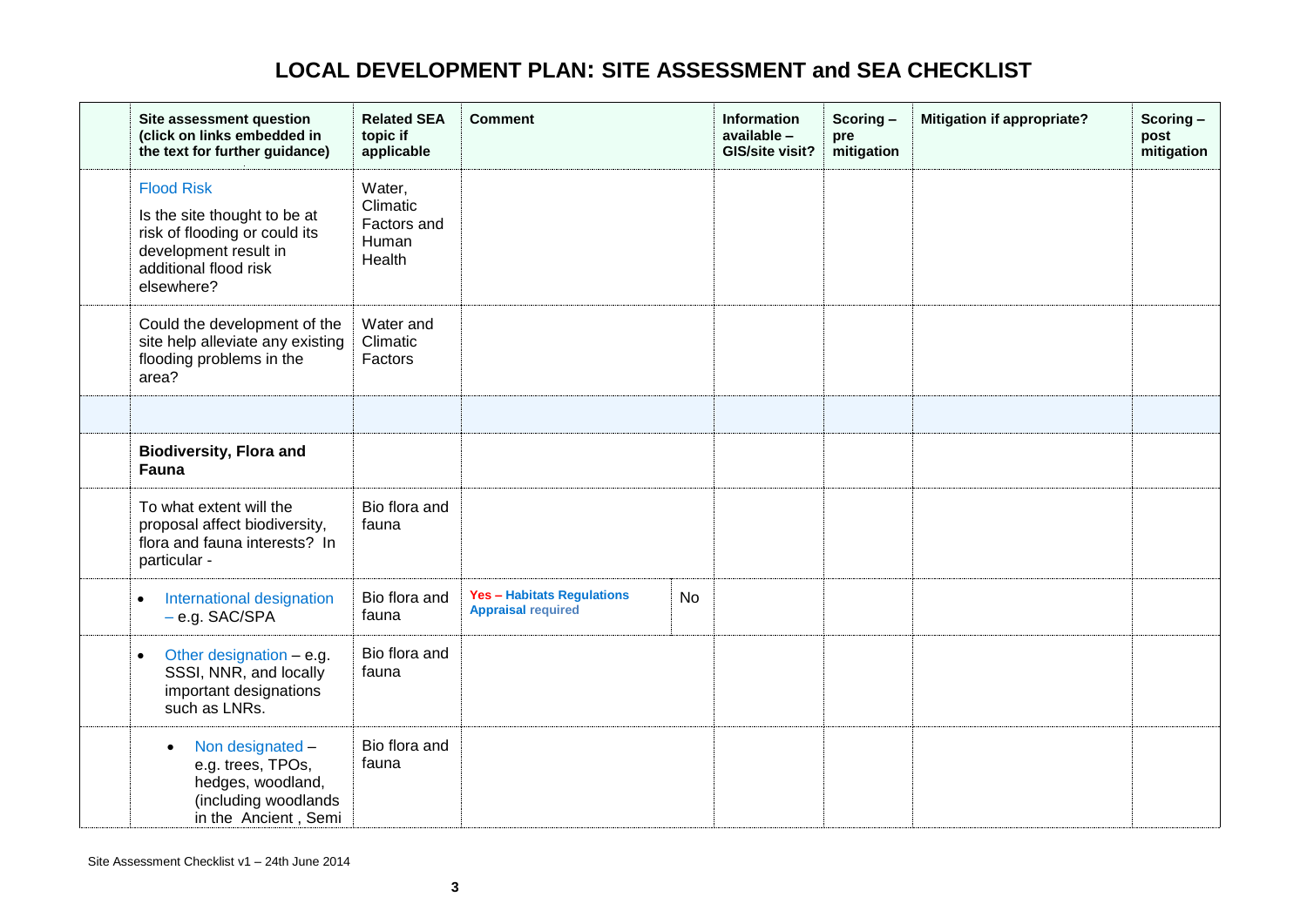<span id="page-2-1"></span><span id="page-2-0"></span>

| Site assessment question<br>(click on links embedded in<br>the text for further guidance)                                                          | <b>Related SEA</b><br>topic if<br>applicable         | <b>Comment</b>                                                 |           | <b>Information</b><br>available -<br>GIS/site visit? | Scoring-<br>pre<br>mitigation | Mitigation if appropriate? | Scoring-<br>post<br>mitigation |
|----------------------------------------------------------------------------------------------------------------------------------------------------|------------------------------------------------------|----------------------------------------------------------------|-----------|------------------------------------------------------|-------------------------------|----------------------------|--------------------------------|
| <b>Flood Risk</b><br>Is the site thought to be at<br>risk of flooding or could its<br>development result in<br>additional flood risk<br>elsewhere? | Water,<br>Climatic<br>Factors and<br>Human<br>Health |                                                                |           |                                                      |                               |                            |                                |
| Could the development of the<br>site help alleviate any existing<br>flooding problems in the<br>area?                                              | Water and<br>Climatic<br>Factors                     |                                                                |           |                                                      |                               |                            |                                |
|                                                                                                                                                    |                                                      |                                                                |           |                                                      |                               |                            |                                |
| <b>Biodiversity, Flora and</b><br>Fauna                                                                                                            |                                                      |                                                                |           |                                                      |                               |                            |                                |
| To what extent will the<br>proposal affect biodiversity,<br>flora and fauna interests? In<br>particular -                                          | Bio flora and<br>fauna                               |                                                                |           |                                                      |                               |                            |                                |
| International designation<br>$\bullet$<br>- e.g. SAC/SPA                                                                                           | Bio flora and<br>fauna                               | <b>Yes - Habitats Regulations</b><br><b>Appraisal required</b> | <b>No</b> |                                                      |                               |                            |                                |
| Other designation $-$ e.g.<br>$\bullet$<br>SSSI, NNR, and locally<br>important designations<br>such as LNRs.                                       | Bio flora and<br>fauna                               |                                                                |           |                                                      |                               |                            |                                |
| Non designated -<br>$\bullet$<br>e.g. trees, TPOs,<br>hedges, woodland,<br>(including woodlands<br>in the Ancient, Semi                            | Bio flora and<br>fauna                               |                                                                |           |                                                      |                               |                            |                                |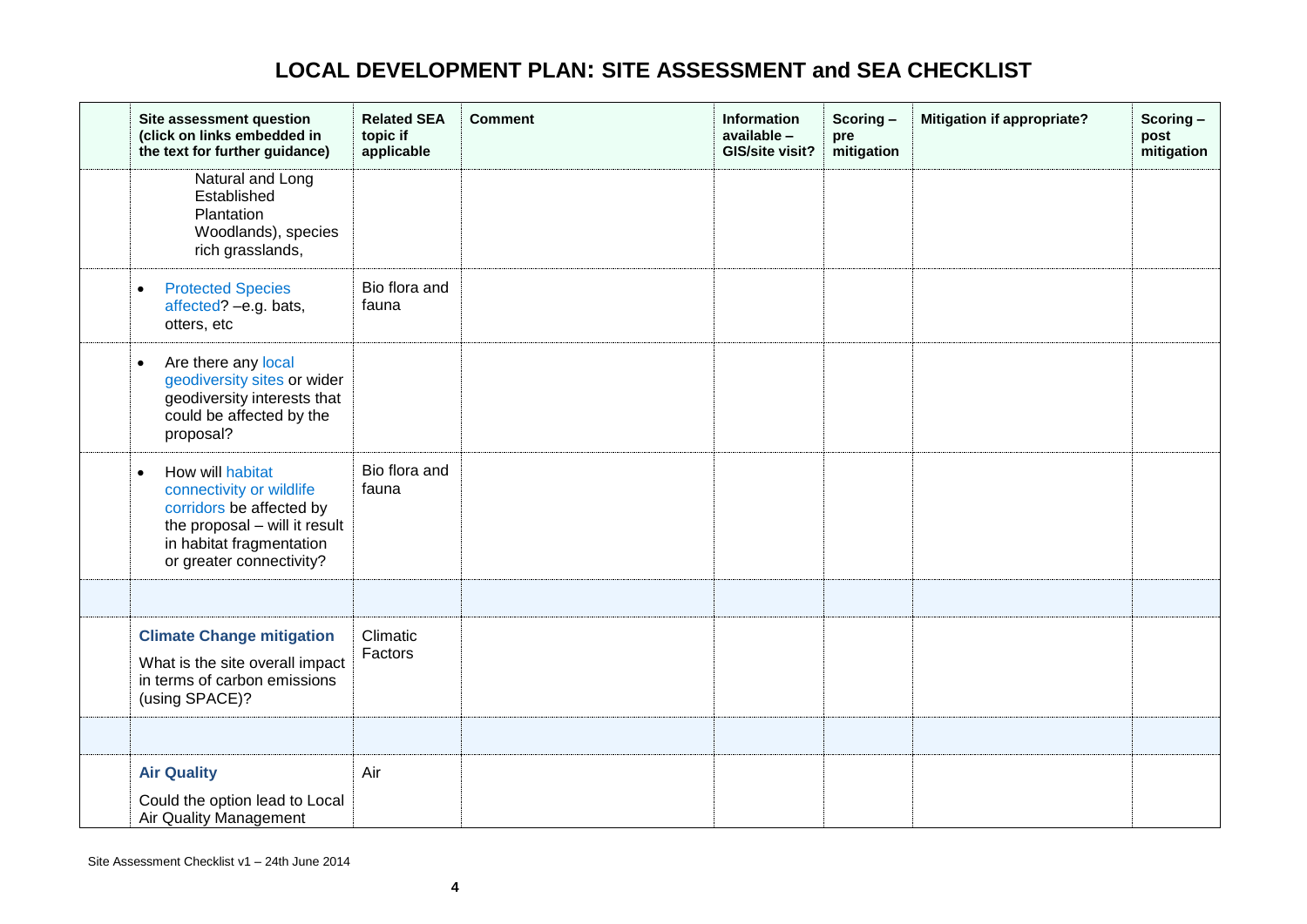<span id="page-3-1"></span><span id="page-3-0"></span>

| Site assessment question<br>(click on links embedded in<br>the text for further guidance)                                                                                      | <b>Related SEA</b><br>topic if<br>applicable | <b>Comment</b> | <b>Information</b><br>available -<br>GIS/site visit? | Scoring-<br>pre<br>mitigation | <b>Mitigation if appropriate?</b> | Scoring-<br>post<br>mitigation |
|--------------------------------------------------------------------------------------------------------------------------------------------------------------------------------|----------------------------------------------|----------------|------------------------------------------------------|-------------------------------|-----------------------------------|--------------------------------|
| Natural and Long<br>Established<br>Plantation<br>Woodlands), species<br>rich grasslands,                                                                                       |                                              |                |                                                      |                               |                                   |                                |
| <b>Protected Species</b><br>$\bullet$<br>affected? -e.g. bats,<br>otters, etc                                                                                                  | Bio flora and<br>fauna                       |                |                                                      |                               |                                   |                                |
| Are there any local<br>$\bullet$<br>geodiversity sites or wider<br>geodiversity interests that<br>could be affected by the<br>proposal?                                        |                                              |                |                                                      |                               |                                   |                                |
| How will habitat<br>$\bullet$<br>connectivity or wildlife<br>corridors be affected by<br>the proposal - will it result<br>in habitat fragmentation<br>or greater connectivity? | Bio flora and<br>fauna                       |                |                                                      |                               |                                   |                                |
|                                                                                                                                                                                |                                              |                |                                                      |                               |                                   |                                |
| <b>Climate Change mitigation</b><br>What is the site overall impact<br>in terms of carbon emissions<br>(using SPACE)?                                                          | Climatic<br>Factors                          |                |                                                      |                               |                                   |                                |
|                                                                                                                                                                                |                                              |                |                                                      |                               |                                   |                                |
| <b>Air Quality</b><br>Could the option lead to Local<br>Air Quality Management                                                                                                 | Air                                          |                |                                                      |                               |                                   |                                |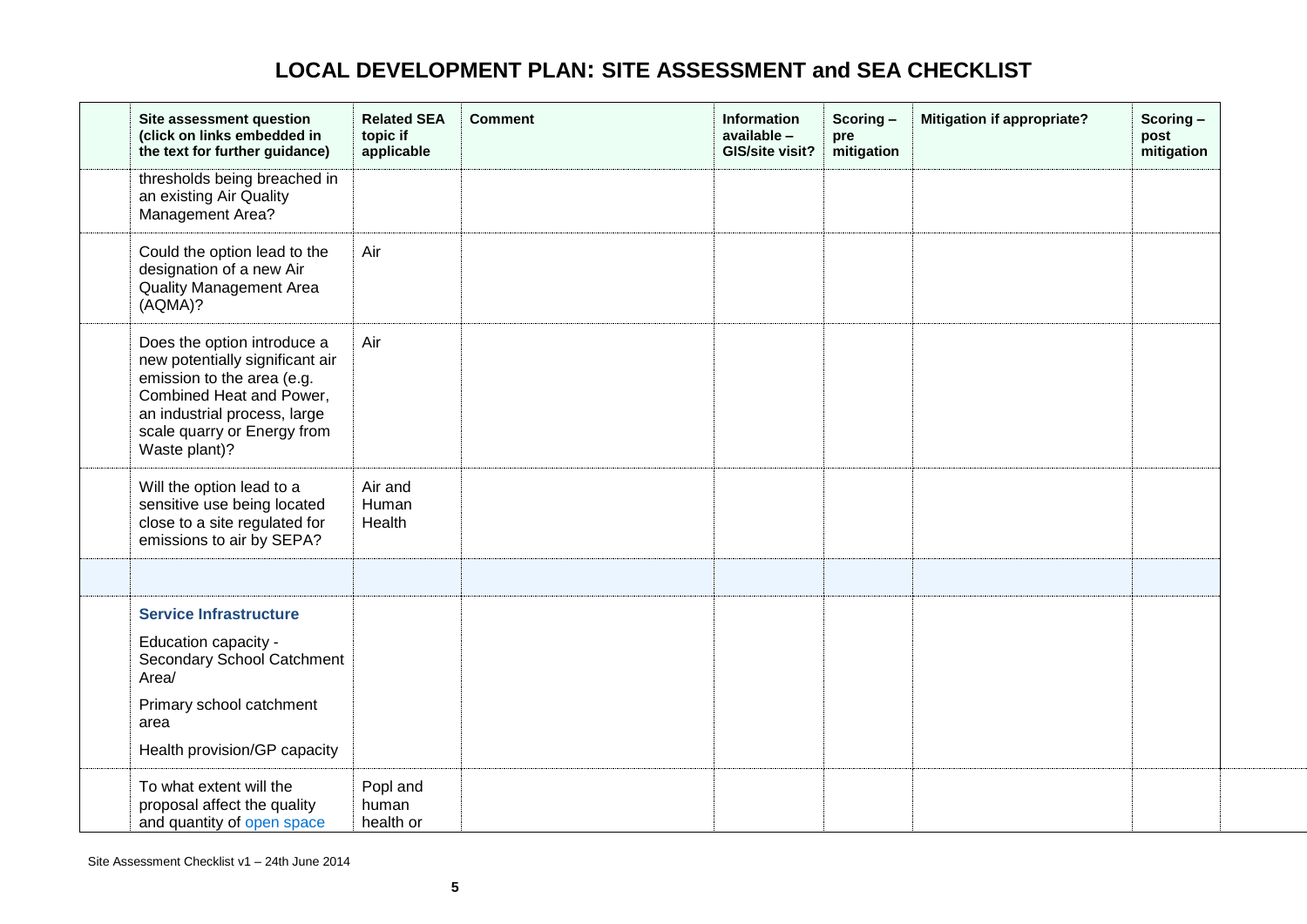<span id="page-4-0"></span>

| Site assessment question<br>(click on links embedded in<br>the text for further guidance)                                                                                                                | <b>Related SEA</b><br>topic if<br>applicable | <b>Comment</b> | <b>Information</b><br>available -<br>GIS/site visit? | Scoring-<br>pre<br>mitigation | <b>Mitigation if appropriate?</b> | Scoring-<br>post<br>mitigation |
|----------------------------------------------------------------------------------------------------------------------------------------------------------------------------------------------------------|----------------------------------------------|----------------|------------------------------------------------------|-------------------------------|-----------------------------------|--------------------------------|
| thresholds being breached in<br>an existing Air Quality<br>Management Area?                                                                                                                              |                                              |                |                                                      |                               |                                   |                                |
| Could the option lead to the<br>designation of a new Air<br><b>Quality Management Area</b><br>(AQMA)?                                                                                                    | Air                                          |                |                                                      |                               |                                   |                                |
| Does the option introduce a<br>new potentially significant air<br>emission to the area (e.g.<br>Combined Heat and Power,<br>an industrial process, large<br>scale quarry or Energy from<br>Waste plant)? | Air                                          |                |                                                      |                               |                                   |                                |
| Will the option lead to a<br>sensitive use being located<br>close to a site regulated for<br>emissions to air by SEPA?                                                                                   | Air and<br>Human<br>Health                   |                |                                                      |                               |                                   |                                |
|                                                                                                                                                                                                          |                                              |                |                                                      |                               |                                   |                                |
| <b>Service Infrastructure</b><br>Education capacity -<br>Secondary School Catchment<br>Area/<br>Primary school catchment<br>area<br>Health provision/GP capacity                                         |                                              |                |                                                      |                               |                                   |                                |
| To what extent will the<br>proposal affect the quality<br>and quantity of open space                                                                                                                     | Popl and<br>human<br>health or               |                |                                                      |                               |                                   |                                |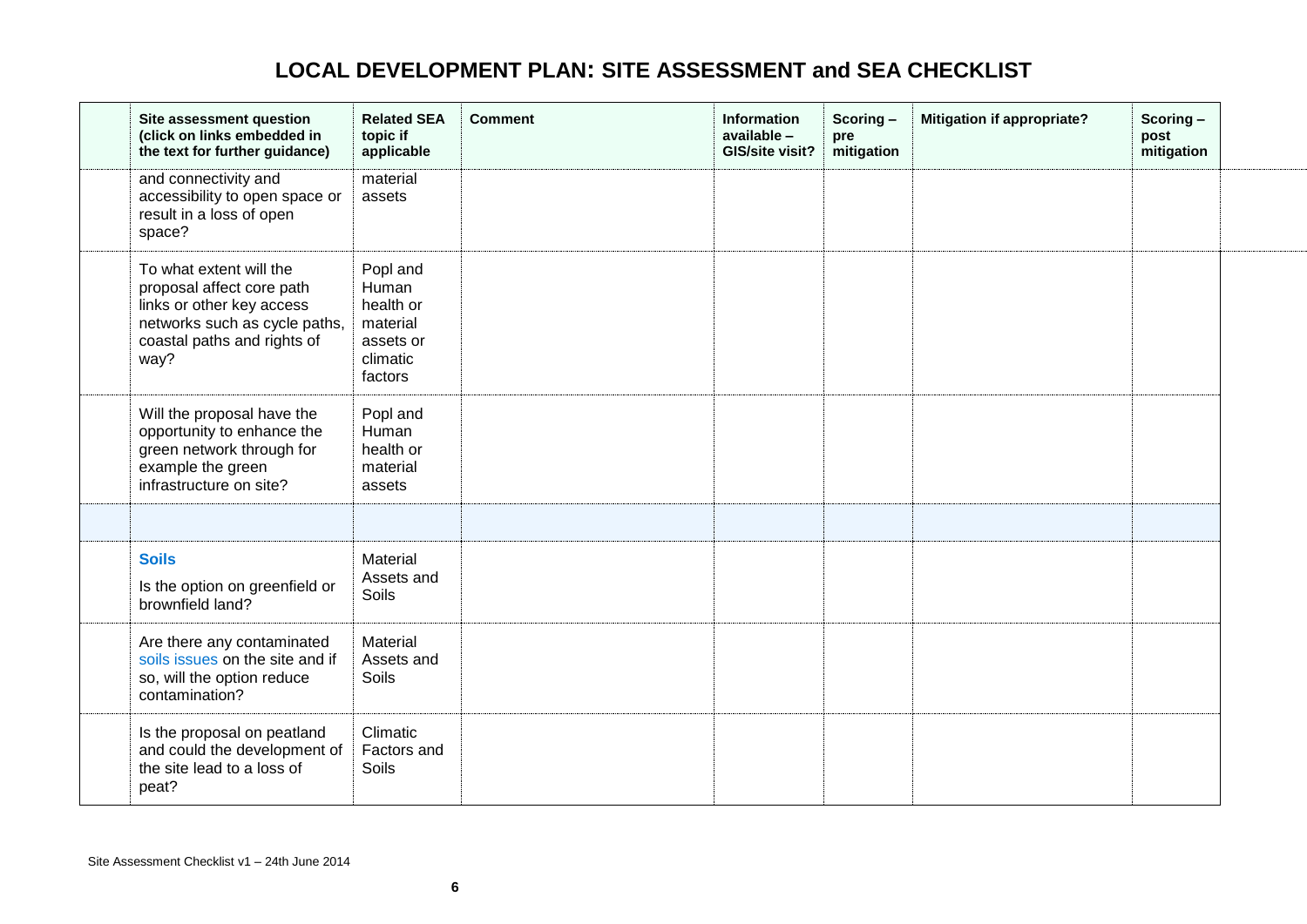<span id="page-5-0"></span>

| Site assessment question<br>(click on links embedded in<br>the text for further guidance)                                                                 | <b>Related SEA</b><br>topic if<br>applicable                                   | <b>Comment</b> | Information<br>available -<br>GIS/site visit? | Scoring-<br>pre<br>mitigation | <b>Mitigation if appropriate?</b> | Scoring-<br>post<br>mitigation |  |
|-----------------------------------------------------------------------------------------------------------------------------------------------------------|--------------------------------------------------------------------------------|----------------|-----------------------------------------------|-------------------------------|-----------------------------------|--------------------------------|--|
| and connectivity and<br>accessibility to open space or<br>result in a loss of open<br>space?                                                              | material<br>assets                                                             |                |                                               |                               |                                   |                                |  |
| To what extent will the<br>proposal affect core path<br>links or other key access<br>networks such as cycle paths,<br>coastal paths and rights of<br>way? | Popl and<br>Human<br>health or<br>material<br>assets or<br>climatic<br>factors |                |                                               |                               |                                   |                                |  |
| Will the proposal have the<br>opportunity to enhance the<br>green network through for<br>example the green<br>infrastructure on site?                     | Popl and<br>Human<br>health or<br>material<br>assets                           |                |                                               |                               |                                   |                                |  |
|                                                                                                                                                           |                                                                                |                |                                               |                               |                                   |                                |  |
| <b>Soils</b><br>Is the option on greenfield or<br>brownfield land?                                                                                        | Material<br>Assets and<br>Soils                                                |                |                                               |                               |                                   |                                |  |
| Are there any contaminated<br>soils issues on the site and if<br>so, will the option reduce<br>contamination?                                             | Material<br>Assets and<br>Soils                                                |                |                                               |                               |                                   |                                |  |
| Is the proposal on peatland<br>and could the development of<br>the site lead to a loss of<br>peat?                                                        | Climatic<br>Factors and<br>Soils                                               |                |                                               |                               |                                   |                                |  |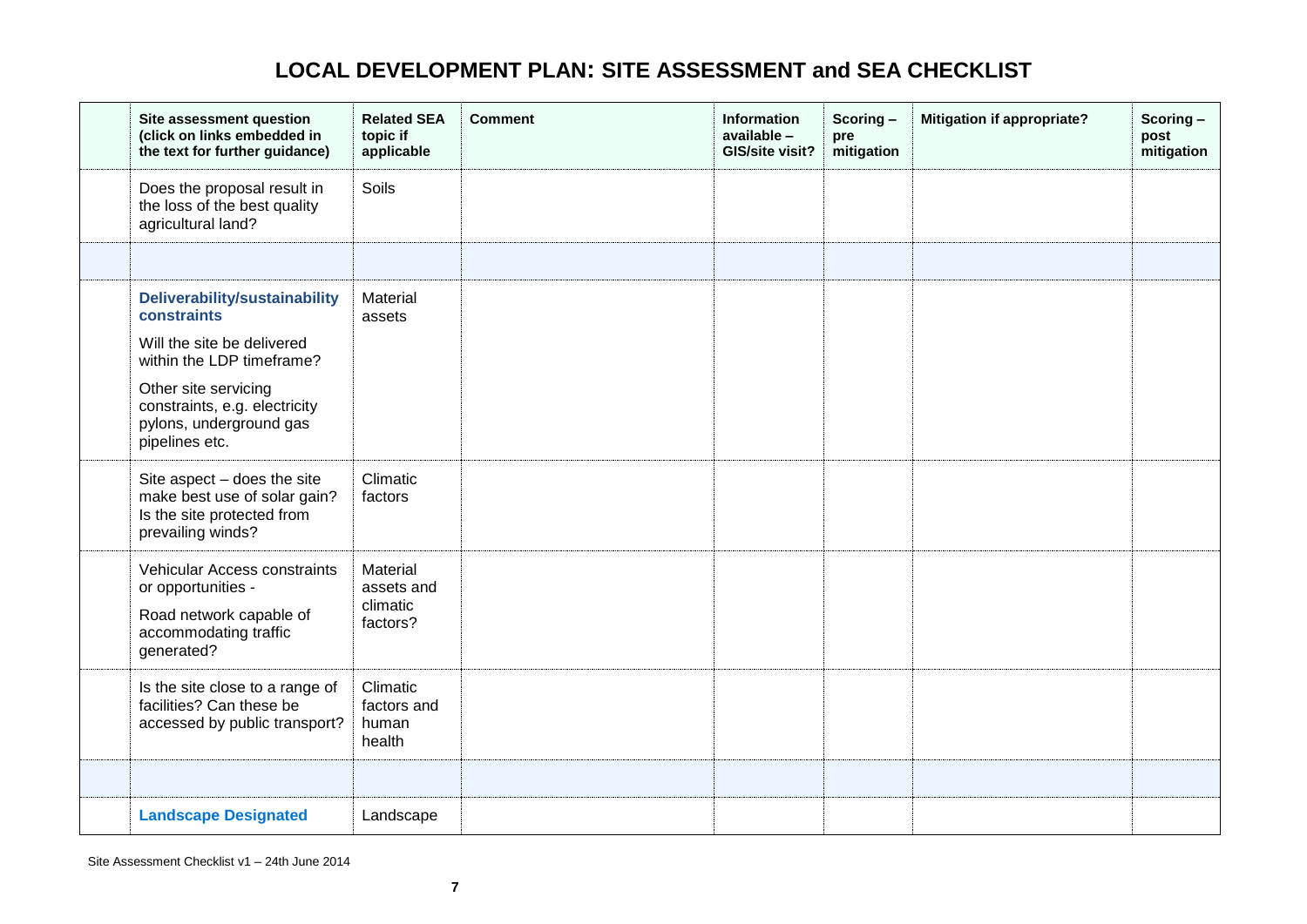<span id="page-6-0"></span>

| Site assessment question<br>(click on links embedded in<br>the text for further guidance)                            | <b>Related SEA</b><br>topic if<br>applicable   | <b>Comment</b> | <b>Information</b><br>available -<br>GIS/site visit? | Scoring-<br>pre<br>mitigation | <b>Mitigation if appropriate?</b> | Scoring-<br>post<br>mitigation |
|----------------------------------------------------------------------------------------------------------------------|------------------------------------------------|----------------|------------------------------------------------------|-------------------------------|-----------------------------------|--------------------------------|
| Does the proposal result in<br>the loss of the best quality<br>agricultural land?                                    | Soils                                          |                |                                                      |                               |                                   |                                |
|                                                                                                                      |                                                |                |                                                      |                               |                                   |                                |
| Deliverability/sustainability<br>constraints                                                                         | Material<br>assets                             |                |                                                      |                               |                                   |                                |
| Will the site be delivered<br>within the LDP timeframe?                                                              |                                                |                |                                                      |                               |                                   |                                |
| Other site servicing<br>constraints, e.g. electricity<br>pylons, underground gas<br>pipelines etc.                   |                                                |                |                                                      |                               |                                   |                                |
| Site aspect - does the site<br>make best use of solar gain?<br>Is the site protected from<br>prevailing winds?       | Climatic<br>factors                            |                |                                                      |                               |                                   |                                |
| Vehicular Access constraints<br>or opportunities -<br>Road network capable of<br>accommodating traffic<br>generated? | Material<br>assets and<br>climatic<br>factors? |                |                                                      |                               |                                   |                                |
| Is the site close to a range of<br>facilities? Can these be<br>accessed by public transport?                         | Climatic<br>factors and<br>human<br>health     |                |                                                      |                               |                                   |                                |
|                                                                                                                      |                                                |                |                                                      |                               |                                   |                                |
| <b>Landscape Designated</b>                                                                                          | Landscape                                      |                |                                                      |                               |                                   |                                |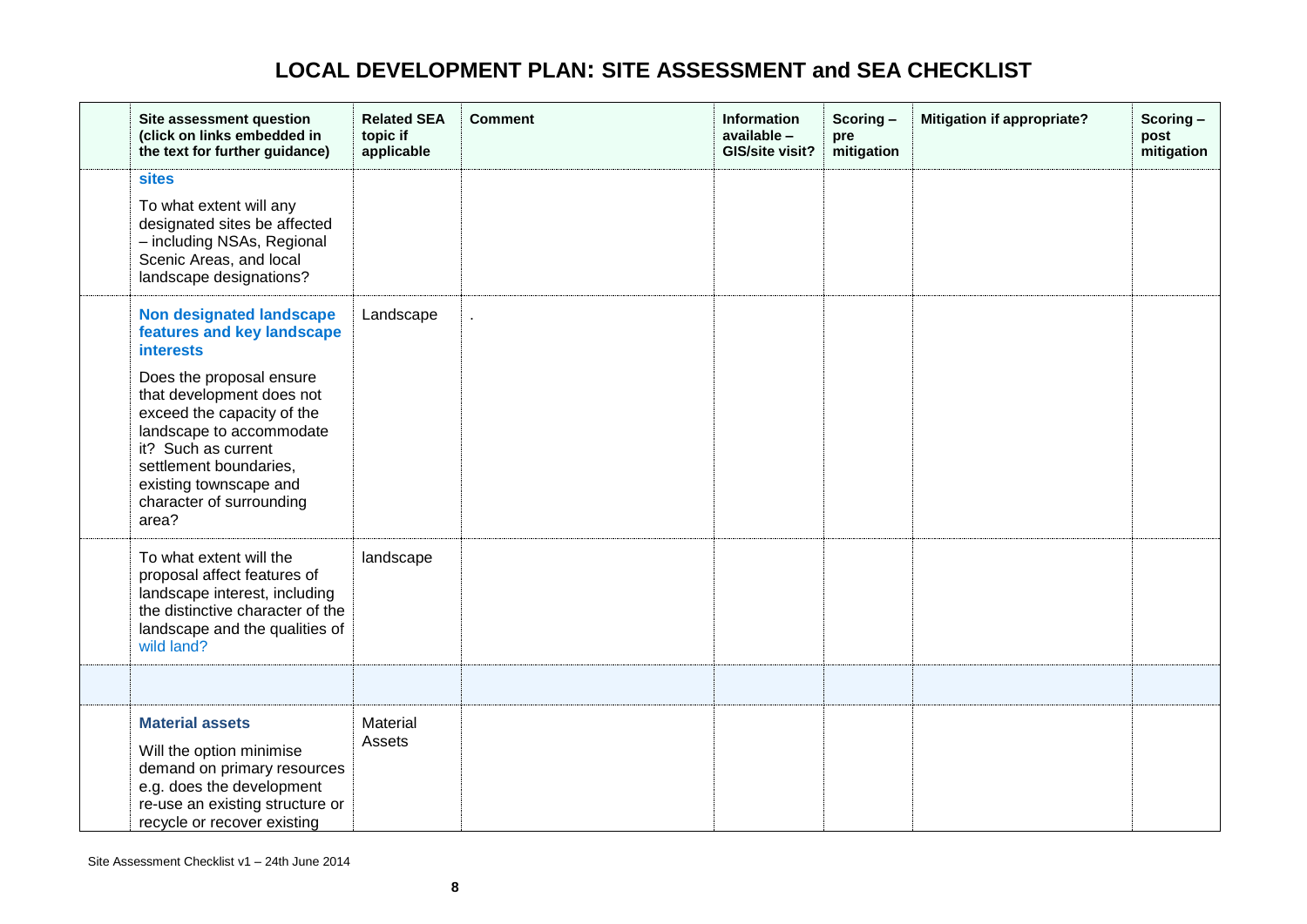<span id="page-7-0"></span>

| Site assessment question<br>(click on links embedded in<br>the text for further guidance)                                                                                                                                                                                                                            | <b>Related SEA</b><br>topic if<br>applicable | <b>Comment</b> | Information<br>available -<br>GIS/site visit? | Scoring-<br>pre<br>mitigation | <b>Mitigation if appropriate?</b> | Scoring-<br>post<br>mitigation |
|----------------------------------------------------------------------------------------------------------------------------------------------------------------------------------------------------------------------------------------------------------------------------------------------------------------------|----------------------------------------------|----------------|-----------------------------------------------|-------------------------------|-----------------------------------|--------------------------------|
| <b>sites</b><br>To what extent will any<br>designated sites be affected<br>- including NSAs, Regional<br>Scenic Areas, and local<br>landscape designations?                                                                                                                                                          |                                              |                |                                               |                               |                                   |                                |
| <b>Non designated landscape</b><br>features and key landscape<br><b>interests</b><br>Does the proposal ensure<br>that development does not<br>exceed the capacity of the<br>landscape to accommodate<br>it? Such as current<br>settlement boundaries,<br>existing townscape and<br>character of surrounding<br>area? | Landscape                                    |                |                                               |                               |                                   |                                |
| To what extent will the<br>proposal affect features of<br>landscape interest, including<br>the distinctive character of the<br>landscape and the qualities of<br>wild land?                                                                                                                                          | landscape                                    |                |                                               |                               |                                   |                                |
|                                                                                                                                                                                                                                                                                                                      |                                              |                |                                               |                               |                                   |                                |
| <b>Material assets</b><br>Will the option minimise<br>demand on primary resources<br>e.g. does the development<br>re-use an existing structure or<br>recycle or recover existing                                                                                                                                     | Material<br>Assets                           |                |                                               |                               |                                   |                                |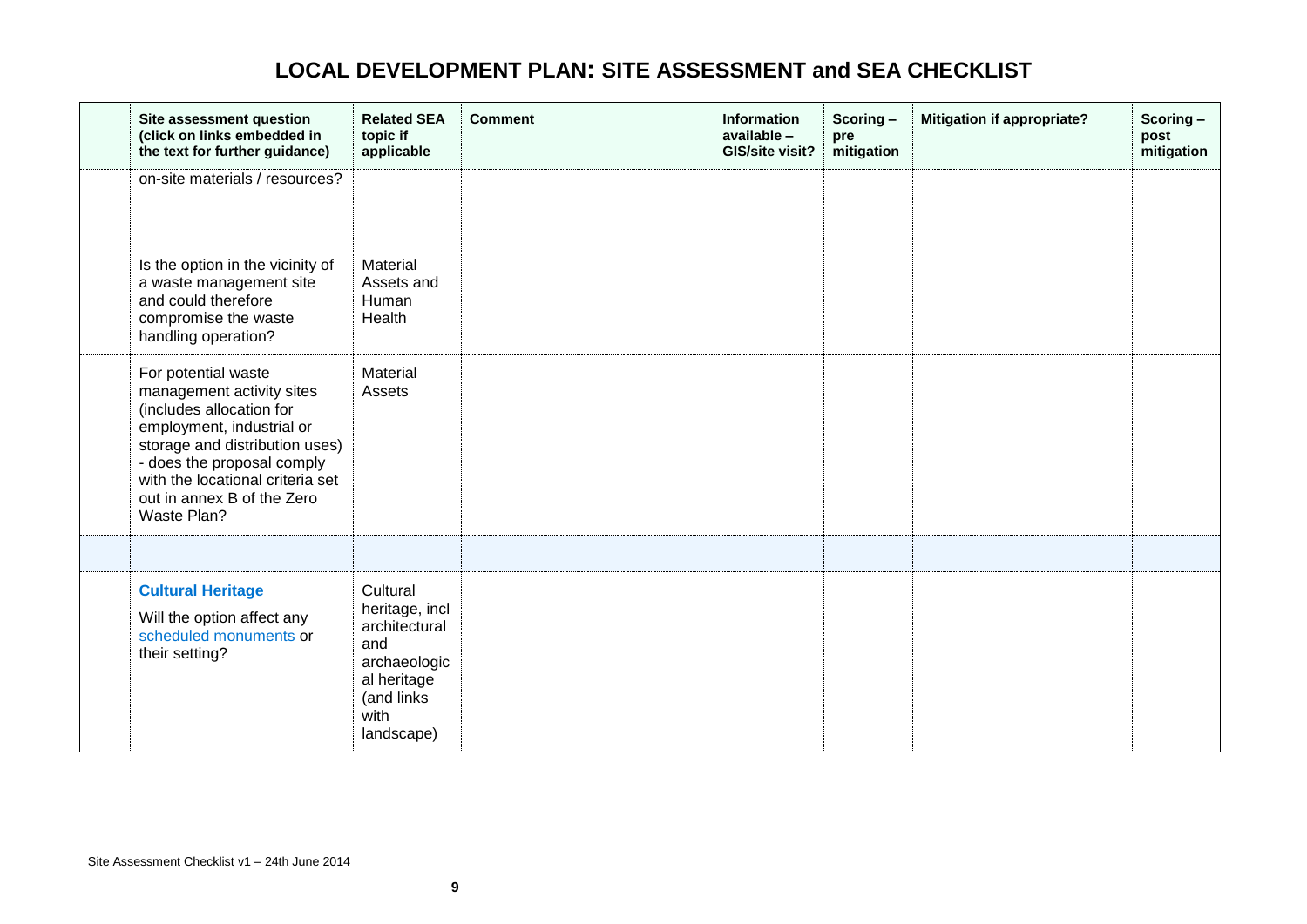<span id="page-8-0"></span>

| Site assessment question<br>(click on links embedded in<br>the text for further guidance)                                                                                                                                                                  | <b>Related SEA</b><br>topic if<br>applicable                                                                          | <b>Comment</b> | <b>Information</b><br>available -<br>GIS/site visit? | Scoring-<br>pre<br>mitigation | <b>Mitigation if appropriate?</b> | Scoring-<br>post<br>mitigation |
|------------------------------------------------------------------------------------------------------------------------------------------------------------------------------------------------------------------------------------------------------------|-----------------------------------------------------------------------------------------------------------------------|----------------|------------------------------------------------------|-------------------------------|-----------------------------------|--------------------------------|
| on-site materials / resources?                                                                                                                                                                                                                             |                                                                                                                       |                |                                                      |                               |                                   |                                |
| Is the option in the vicinity of<br>a waste management site<br>and could therefore<br>compromise the waste<br>handling operation?                                                                                                                          | Material<br>Assets and<br>Human<br>Health                                                                             |                |                                                      |                               |                                   |                                |
| For potential waste<br>management activity sites<br>(includes allocation for<br>employment, industrial or<br>storage and distribution uses)<br>- does the proposal comply<br>with the locational criteria set<br>out in annex B of the Zero<br>Waste Plan? | Material<br>Assets                                                                                                    |                |                                                      |                               |                                   |                                |
|                                                                                                                                                                                                                                                            |                                                                                                                       |                |                                                      |                               |                                   |                                |
| <b>Cultural Heritage</b><br>Will the option affect any<br>scheduled monuments or<br>their setting?                                                                                                                                                         | Cultural<br>heritage, incl<br>architectural<br>and<br>archaeologic<br>al heritage<br>(and links<br>with<br>landscape) |                |                                                      |                               |                                   |                                |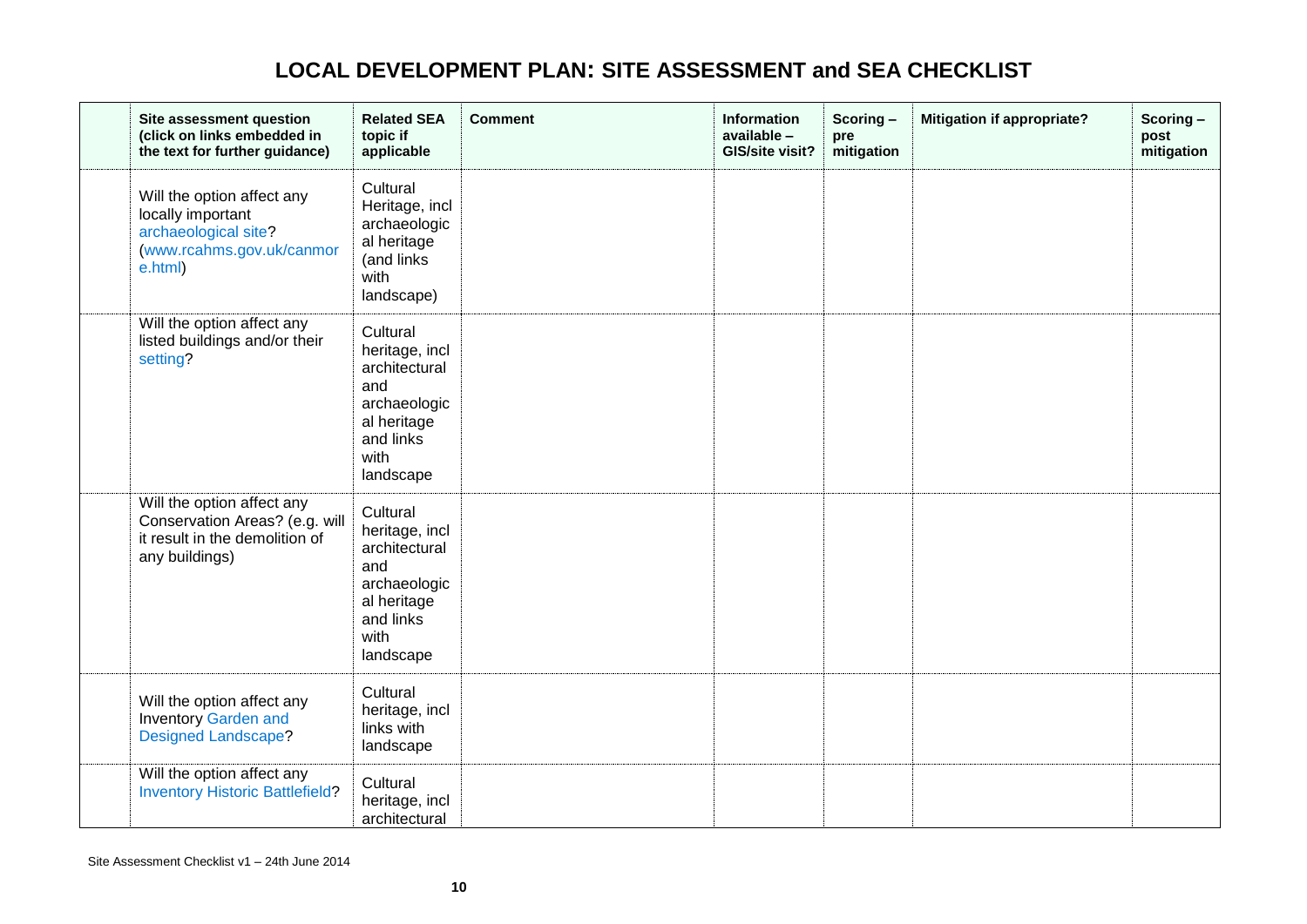| Site assessment question<br>(click on links embedded in<br>the text for further guidance)                        | <b>Related SEA</b><br>topic if<br>applicable                                                                        | <b>Comment</b> | <b>Information</b><br>available -<br>GIS/site visit? | Scoring-<br>pre<br>mitigation | <b>Mitigation if appropriate?</b> | Scoring-<br>post<br>mitigation |
|------------------------------------------------------------------------------------------------------------------|---------------------------------------------------------------------------------------------------------------------|----------------|------------------------------------------------------|-------------------------------|-----------------------------------|--------------------------------|
| Will the option affect any<br>locally important<br>archaeological site?<br>(www.rcahms.gov.uk/canmor<br>e.html)  | Cultural<br>Heritage, incl<br>archaeologic<br>al heritage<br>(and links<br>with<br>landscape)                       |                |                                                      |                               |                                   |                                |
| Will the option affect any<br>listed buildings and/or their<br>setting?                                          | Cultural<br>heritage, incl<br>architectural<br>and<br>archaeologic<br>al heritage<br>and links<br>with<br>landscape |                |                                                      |                               |                                   |                                |
| Will the option affect any<br>Conservation Areas? (e.g. will<br>it result in the demolition of<br>any buildings) | Cultural<br>heritage, incl<br>architectural<br>and<br>archaeologic<br>al heritage<br>and links<br>with<br>landscape |                |                                                      |                               |                                   |                                |
| Will the option affect any<br><b>Inventory Garden and</b><br><b>Designed Landscape?</b>                          | Cultural<br>heritage, incl<br>links with<br>landscape                                                               |                |                                                      |                               |                                   |                                |
| Will the option affect any<br><b>Inventory Historic Battlefield?</b>                                             | Cultural<br>heritage, incl<br>architectural                                                                         |                |                                                      |                               |                                   |                                |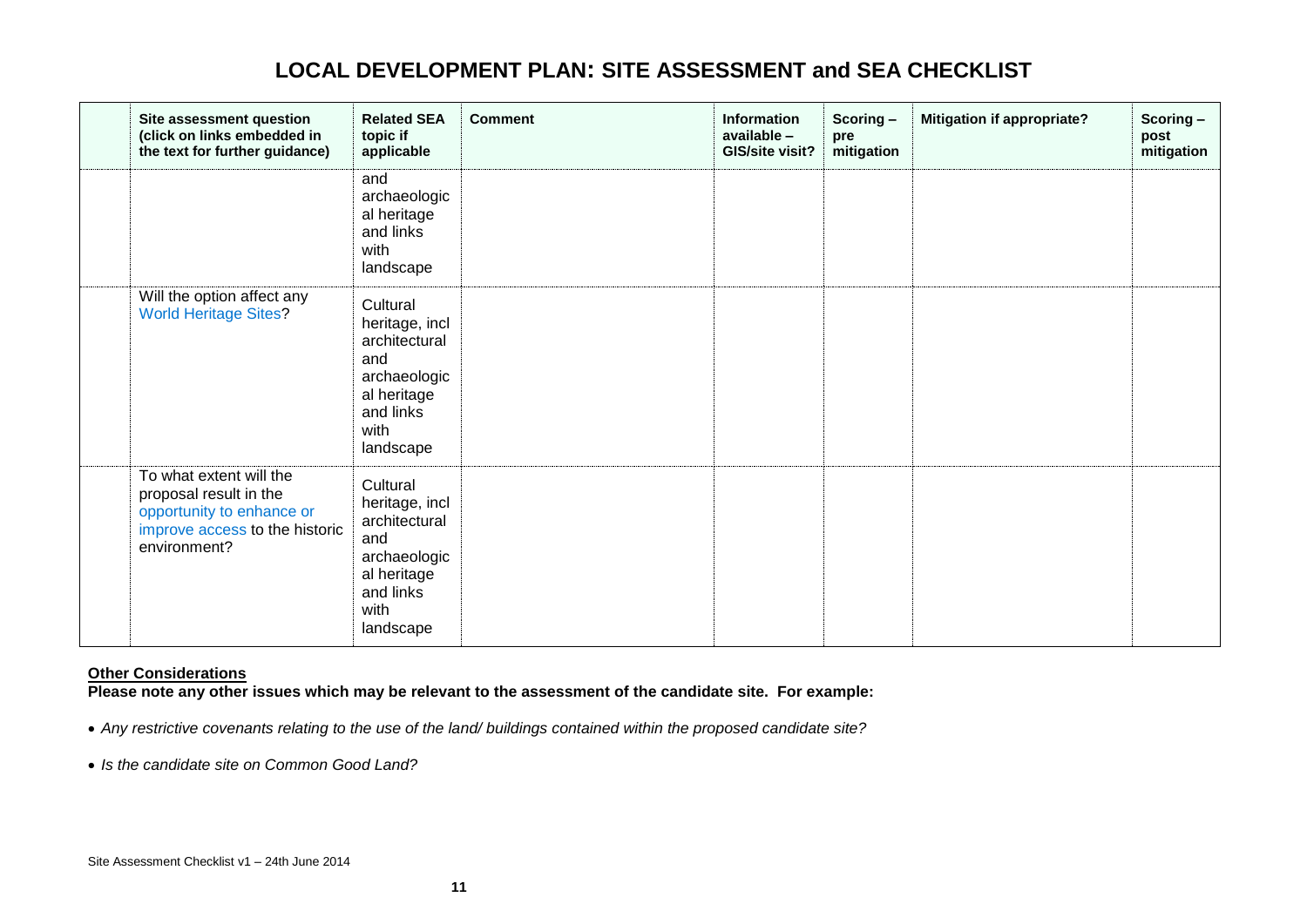| Site assessment question<br>(click on links embedded in<br>the text for further guidance)                                        | <b>Related SEA</b><br>topic if<br>applicable                                                                        | <b>Comment</b> | <b>Information</b><br>available -<br>GIS/site visit? | Scoring-<br>pre<br>mitigation | <b>Mitigation if appropriate?</b> | Scoring-<br>post<br>mitigation |
|----------------------------------------------------------------------------------------------------------------------------------|---------------------------------------------------------------------------------------------------------------------|----------------|------------------------------------------------------|-------------------------------|-----------------------------------|--------------------------------|
|                                                                                                                                  | and<br>archaeologic<br>al heritage<br>and links<br>with<br>landscape                                                |                |                                                      |                               |                                   |                                |
| Will the option affect any<br><b>World Heritage Sites?</b>                                                                       | Cultural<br>heritage, incl<br>architectural<br>and<br>archaeologic<br>al heritage<br>and links<br>with<br>landscape |                |                                                      |                               |                                   |                                |
| To what extent will the<br>proposal result in the<br>opportunity to enhance or<br>improve access to the historic<br>environment? | Cultural<br>heritage, incl<br>architectural<br>and<br>archaeologic<br>al heritage<br>and links<br>with<br>landscape |                |                                                      |                               |                                   |                                |

### **Other Considerations**

**Please note any other issues which may be relevant to the assessment of the candidate site. For example:**

*Any restrictive covenants relating to the use of the land/ buildings contained within the proposed candidate site?*

*Is the candidate site on Common Good Land?*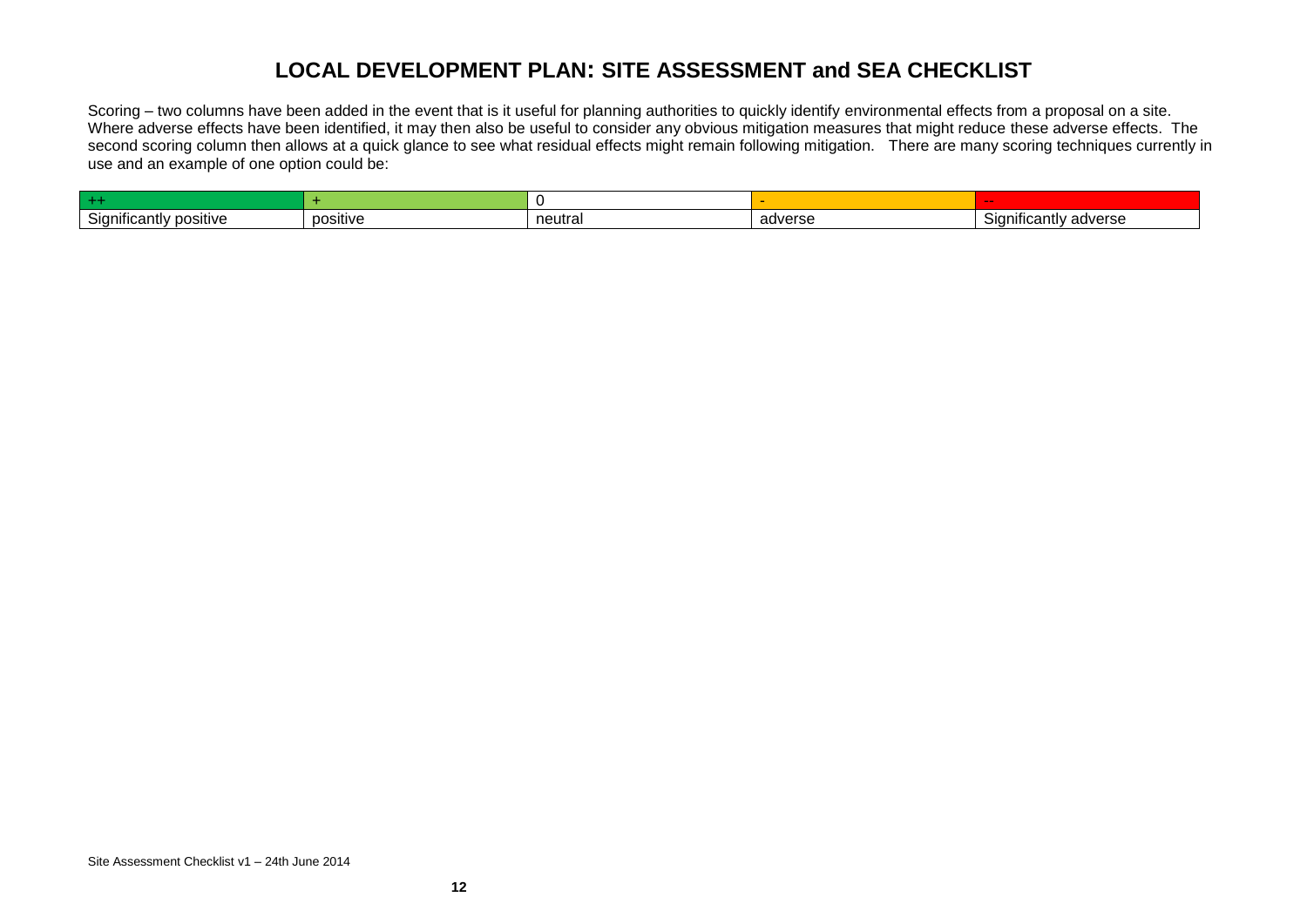Scoring – two columns have been added in the event that is it useful for planning authorities to quickly identify environmental effects from a proposal on a site. Where adverse effects have been identified, it may then also be useful to consider any obvious mitigation measures that might reduce these adverse effects. The second scoring column then allows at a quick glance to see what residual effects might remain following mitigation. There are many scoring techniques currently in use and an example of one option could be:

| .<br>⊪iticantl∖<br>' positive<br>olar | positive | neutral | adverse | $\cdot$ .<br>Significantly adverse<br>ںוכ |
|---------------------------------------|----------|---------|---------|-------------------------------------------|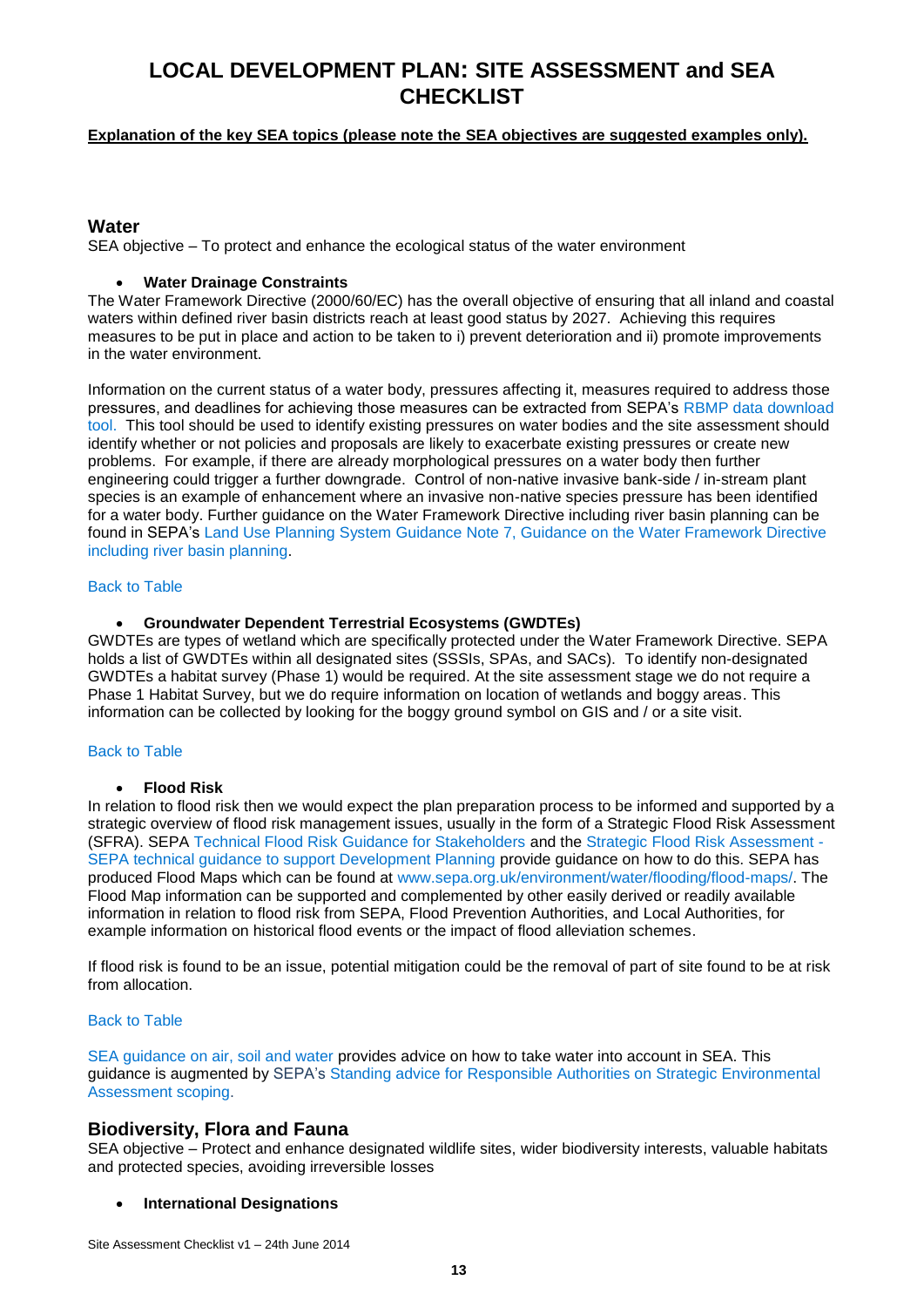### <span id="page-12-0"></span>**Explanation of the key SEA topics (please note the SEA objectives are suggested examples only).**

### **Water**

<span id="page-12-1"></span>SEA objective – To protect and enhance the ecological status of the water environment

### **Water Drainage Constraints**

The Water Framework Directive (2000/60/EC) has the overall objective of ensuring that all inland and coastal waters within defined river basin districts reach at least good status by 2027. Achieving this requires measures to be put in place and action to be taken to i) prevent deterioration and ii) promote improvements in the water environment.

<span id="page-12-2"></span>Information on the current status of a water body, pressures affecting it, measures required to address those pressures, and deadlines for achieving those measures can be extracted from SEPA's [RBMP data download](http://gis.sepa.org.uk/rbmp/Data_Download.aspx)  [tool.](http://gis.sepa.org.uk/rbmp/Data_Download.aspx) This tool should be used to identify existing pressures on water bodies and the site assessment should identify whether or not policies and proposals are likely to exacerbate existing pressures or create new problems. For example, if there are already morphological pressures on a water body then further engineering could trigger a further downgrade. Control of non-native invasive bank-side / in-stream plant species is an example of enhancement where an invasive non-native species pressure has been identified for a water body. Further guidance on the Water Framework Directive including river basin planning can be found in SEPA's [Land Use Planning System Guidance Note 7, Guidance on the Water Framework Directive](http://www.sepa.org.uk/media/143208/lups-gu7-planning-guidance-on-the-water-framework-directive-including-river-basin-planning.pdf)  [including river basin planning.](http://www.sepa.org.uk/media/143208/lups-gu7-planning-guidance-on-the-water-framework-directive-including-river-basin-planning.pdf)

### [Back to Table](#page-1-0)

### **Groundwater Dependent Terrestrial Ecosystems (GWDTEs)**

GWDTEs are types of wetland which are specifically protected under the Water Framework Directive. SEPA holds a list of GWDTEs within all designated sites (SSSIs, SPAs, and SACs). To identify non-designated GWDTEs a habitat survey (Phase 1) would be required. At the site assessment stage we do not require a Phase 1 Habitat Survey, but we do require information on location of wetlands and boggy areas. This information can be collected by looking for the boggy ground symbol on GIS and / or a site visit.

#### [Back to Table](#page-1-0)

#### **Flood Risk**

<span id="page-12-3"></span>In relation to flood risk then we would expect the plan preparation process to be informed and supported by a strategic overview of flood risk management issues, usually in the form of a Strategic Flood Risk Assessment (SFRA). SEPA [Technical Flood Risk Guidance for Stakeholders](http://www.sepa.org.uk/media/143442/ss-nfr-p-002-technical-flood-risk-guidance-for-stakeholders.pdf) and the [Strategic Flood Risk Assessment](http://www.sepa.org.uk/media/143351/lups-gu23-strategic-flood-risk-assessment-sepa-technical-guidance-to-support-development-planning.pdf) - [SEPA technical guidance to support Development Planning](http://www.sepa.org.uk/media/143351/lups-gu23-strategic-flood-risk-assessment-sepa-technical-guidance-to-support-development-planning.pdf) provide guidance on how to do this. SEPA has produced Flood Maps which can be found at [www.sepa.org.uk/environment/water/flooding/flood-maps/.](http://www.sepa.org.uk/environment/water/flooding/flood-maps/) The Flood Map information can be supported and complemented by other easily derived or readily available information in relation to flood risk from SEPA, Flood Prevention Authorities, and Local Authorities, for example information on historical flood events or the impact of flood alleviation schemes.

If flood risk is found to be an issue, potential mitigation could be the removal of part of site found to be at risk from allocation.

#### [Back to Table](#page-2-0)

[SEA guidance on air, soil and water](http://www.sepa.org.uk/environment/land/planning/strategic-environmental-assessment) provides advice on how to take water into account in SEA. This guidance is augmented by SEPA's [Standing advice for Responsible Authorities on Strategic Environmental](http://www.sepa.org.uk/media/147606/advice-for-responsible-authorities-on-sea.pdf)  [Assessment scoping.](http://www.sepa.org.uk/media/147606/advice-for-responsible-authorities-on-sea.pdf)

### **Biodiversity, Flora and Fauna**

SEA objective – Protect and enhance designated wildlife sites, wider biodiversity interests, valuable habitats and protected species, avoiding irreversible losses

#### **International Designations**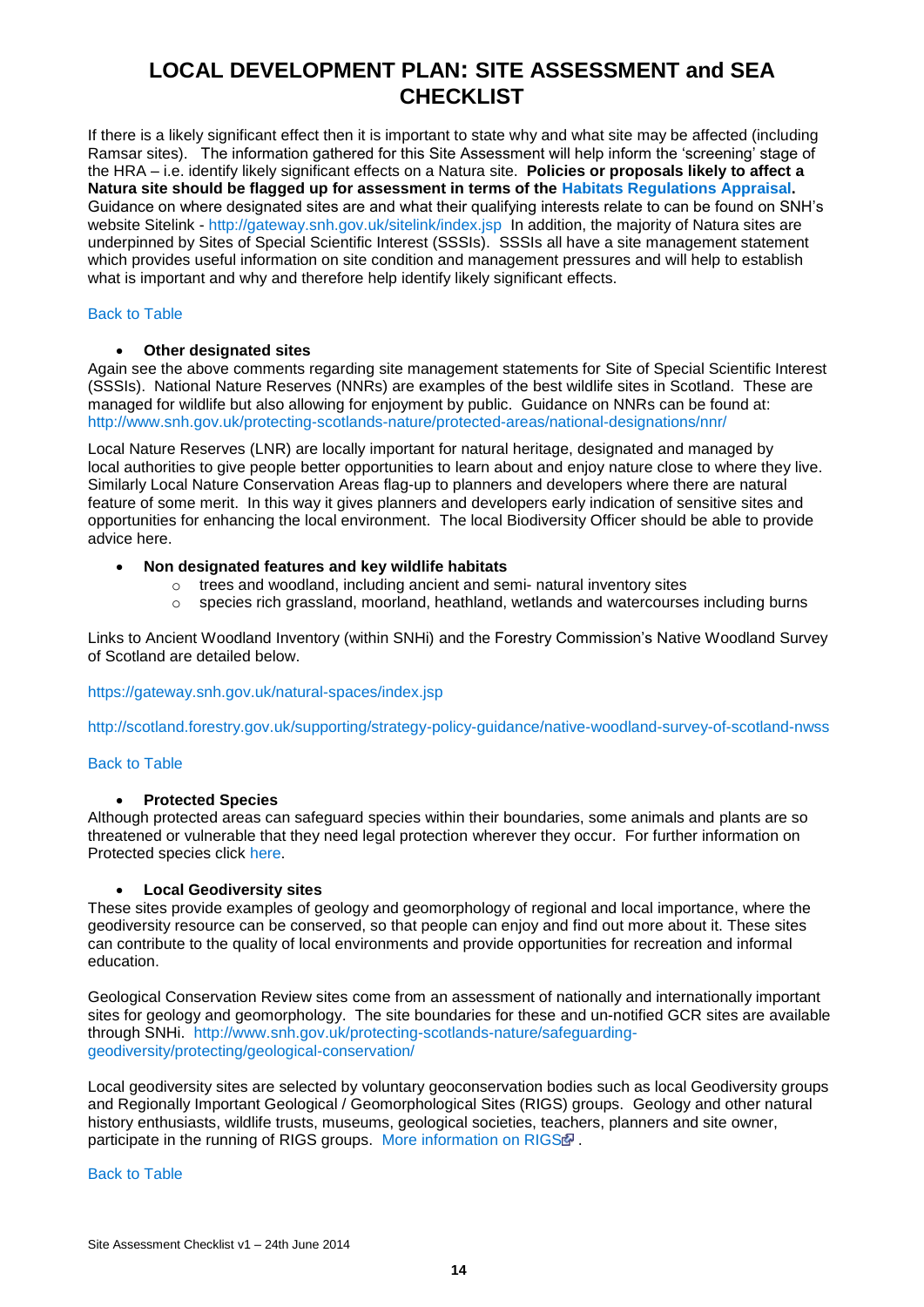<span id="page-13-5"></span><span id="page-13-2"></span><span id="page-13-1"></span><span id="page-13-0"></span>If there is a likely significant effect then it is important to state why and what site may be affected (including Ramsar sites). The information gathered for this Site Assessment will help inform the 'screening' stage of the HRA – i.e. identify likely significant effects on a Natura site. **Policies or proposals likely to affect a Natura site should be flagged up for assessment in terms of the [Habitats Regulations Appraisal.](http://www.snh.gov.uk/planning-and-development/environmental-assessment/habitat-regulations-appraisal/)**  Guidance on where designated sites are and what their qualifying interests relate to can be found on SNH's website Sitelink - <http://gateway.snh.gov.uk/sitelink/index.jsp> In addition, the majority of Natura sites are underpinned by Sites of Special Scientific Interest (SSSIs). SSSIs all have a site management statement which provides useful information on site condition and management pressures and will help to establish what is important and why and therefore help identify likely significant effects.

### <span id="page-13-3"></span>[Back to Table](#page-2-1)

### **Other designated sites**

Again see the above comments regarding site management statements for Site of Special Scientific Interest (SSSIs). National Nature Reserves (NNRs) are examples of the best wildlife sites in Scotland. These are managed for wildlife but also allowing for enjoyment by public. Guidance on NNRs can be found at: <http://www.snh.gov.uk/protecting-scotlands-nature/protected-areas/national-designations/nnr/>

Local Nature Reserves (LNR) are locally important for natural heritage, designated and managed by local authorities to give people better opportunities to learn about and enjoy nature close to where they live. Similarly Local Nature Conservation Areas flag-up to planners and developers where there are natural feature of some merit. In this way it gives planners and developers early indication of sensitive sites and opportunities for enhancing the local environment. The local Biodiversity Officer should be able to provide advice here.

### **Non designated features and key wildlife habitats**

- <span id="page-13-4"></span>o trees and woodland, including ancient and semi- natural inventory sites
- $\circ$  species rich grassland, moorland, heathland, wetlands and watercourses including burns

Links to Ancient Woodland Inventory (within SNHi) and the Forestry Commission's Native Woodland Survey of Scotland are detailed below.

<https://gateway.snh.gov.uk/natural-spaces/index.jsp>

<http://scotland.forestry.gov.uk/supporting/strategy-policy-guidance/native-woodland-survey-of-scotland-nwss>

#### [Back to Table](#page-2-1)

### **Protected Species**

Although protected areas can safeguard species within their boundaries, some animals and plants are so threatened or vulnerable that they need legal protection wherever they occur. For further information on Protected species click [here.](http://www.snh.gov.uk/protecting-scotlands-nature/protected-species/)

#### **Local Geodiversity sites**

These sites provide examples of geology and geomorphology of regional and local importance, where the geodiversity resource can be conserved, so that people can enjoy and find out more about it. These sites can contribute to the quality of local environments and provide opportunities for recreation and informal education.

Geological Conservation Review sites come from an assessment of nationally and internationally important sites for geology and geomorphology. The site boundaries for these and un-notified GCR sites are available through SNHi. [http://www.snh.gov.uk/protecting-scotlands-nature/safeguarding](http://www.snh.gov.uk/protecting-scotlands-nature/safeguarding-geodiversity/protecting/geological-conservation/)[geodiversity/protecting/geological-conservation/](http://www.snh.gov.uk/protecting-scotlands-nature/safeguarding-geodiversity/protecting/geological-conservation/)

Local geodiversity sites are selected by voluntary geoconservation bodies such as local Geodiversity groups and Regionally Important Geological / Geomorphological Sites (RIGS) groups. Geology and other natural history enthusiasts, wildlife trusts, museums, geological societies, teachers, planners and site owner, participate in the running of RIGS groups. [More information on RIGS](http://www.scottishgeology.com/) .

#### [Back to Table](#page-2-1)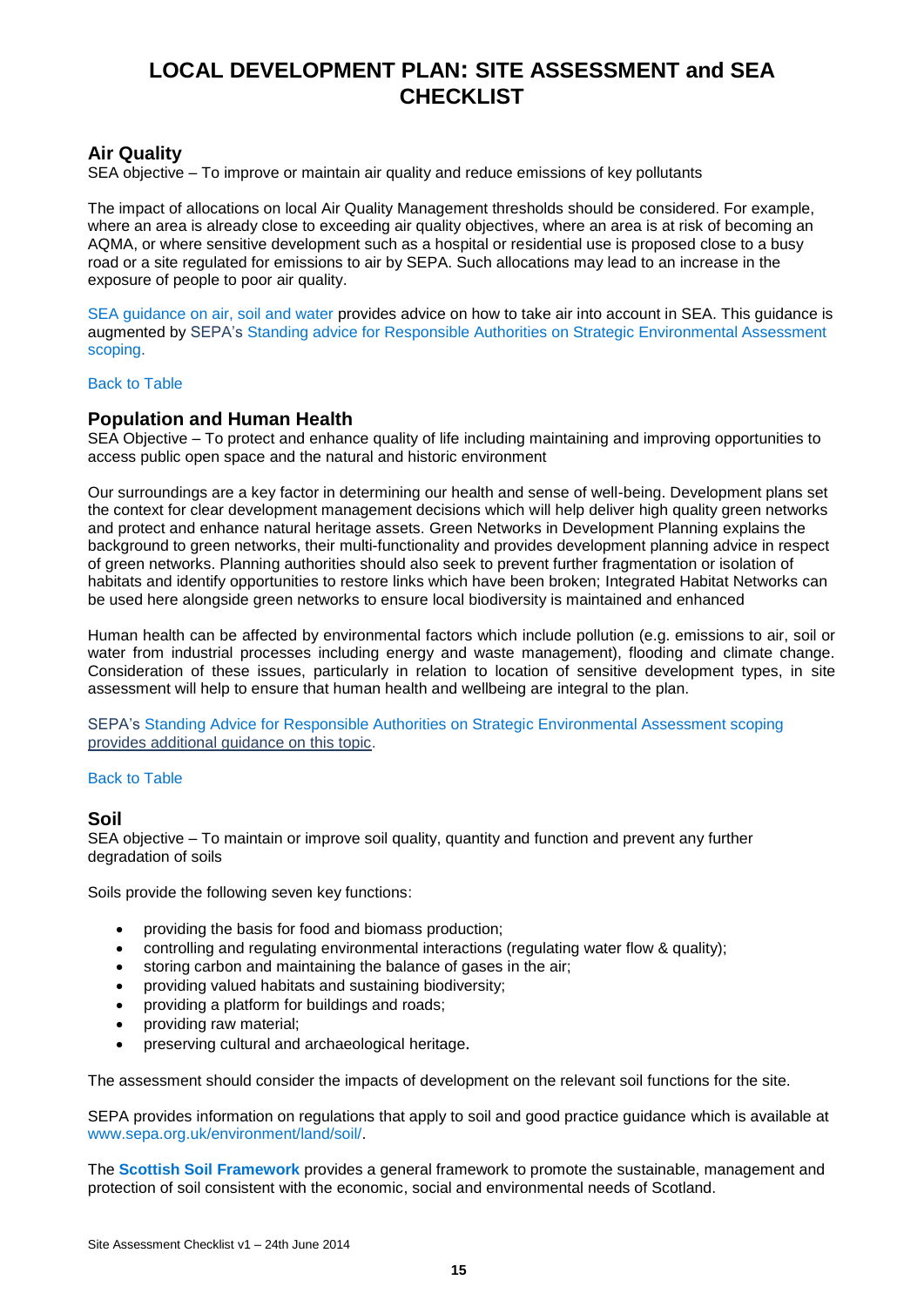## <span id="page-14-1"></span><span id="page-14-0"></span>**Air Quality**

SEA objective – To improve or maintain air quality and reduce emissions of key pollutants

The impact of allocations on local Air Quality Management thresholds should be considered. For example, where an area is already close to exceeding air quality objectives, where an area is at risk of becoming an AQMA, or where sensitive development such as a hospital or residential use is proposed close to a busy road or a site regulated for emissions to air by SEPA. Such allocations may lead to an increase in the exposure of people to poor air quality.

[SEA guidance on air, soil and water](http://www.sepa.org.uk/environment/land/planning/strategic-environmental-assessment) provides advice on how to take air into account in SEA. This guidance is augmented by SEPA's [Standing advice for Responsible Authorities on Strategic Environmental Assessment](http://www.sepa.org.uk/media/147606/advice-for-responsible-authorities-on-sea.pdf)  [scoping.](http://www.sepa.org.uk/media/147606/advice-for-responsible-authorities-on-sea.pdf)

### [Back to Table](#page-3-0)

### **Population and Human Health**

<span id="page-14-2"></span>SEA Objective – To protect and enhance quality of life including maintaining and improving opportunities to access public open space and the natural and historic environment

Our surroundings are a key factor in determining our health and sense of well-being. Development plans set the context for clear development management decisions which will help deliver high quality green networks and protect and enhance natural heritage assets. [Green Networks in Development Planning](http://www.snh.gov.uk/docs/B1041551.pdf) explains the background to green networks, their multi-functionality and provides development planning advice in respect of green networks. Planning authorities should also seek to prevent further fragmentation or isolation of habitats and identify opportunities to restore links which have been broken; [Integrated Habitat Networks](http://www.snh.gov.uk/docs/A685454.pdf) can be used here alongside green networks to ensure local biodiversity is maintained and enhanced

Human health can be affected by environmental factors which include pollution (e.g. emissions to air, soil or water from industrial processes including energy and waste management), flooding and climate change. Consideration of these issues, particularly in relation to location of sensitive development types, in site assessment will help to ensure that human health and wellbeing are integral to the plan.

SEPA's [Standing Advice for Responsible Authorities on Strategic Environmental Assessment scoping](http://www.sepa.org.uk/media/147606/advice-for-responsible-authorities-on-sea.pdf) provides additional guidance on this topic.

#### [Back to Table](#page-4-0)

### **Soil**

SEA objective – To maintain or improve soil quality, quantity and function and prevent any further degradation of soils

Soils provide the following seven key functions:

- providing the basis for food and biomass production;
- controlling and regulating environmental interactions (regulating water flow & quality);
- storing carbon and maintaining the balance of gases in the air:
- providing valued habitats and sustaining biodiversity;
- providing a platform for buildings and roads;
- providing raw material;
- preserving cultural and archaeological heritage.

The assessment should consider the impacts of development on the relevant soil functions for the site.

SEPA provides information on regulations that apply to soil and good practice guidance which is available at [www.sepa.org.uk/environment/land/soil/.](http://www.sepa.org.uk/environment/land/soil/)

The **[Scottish Soil Framework](http://www.snh.gov.uk/land-and-sea/managing-the-land/soils/soil-framework)** provides a general framework to promote the sustainable, management and protection of soil consistent with the economic, social and environmental needs of Scotland.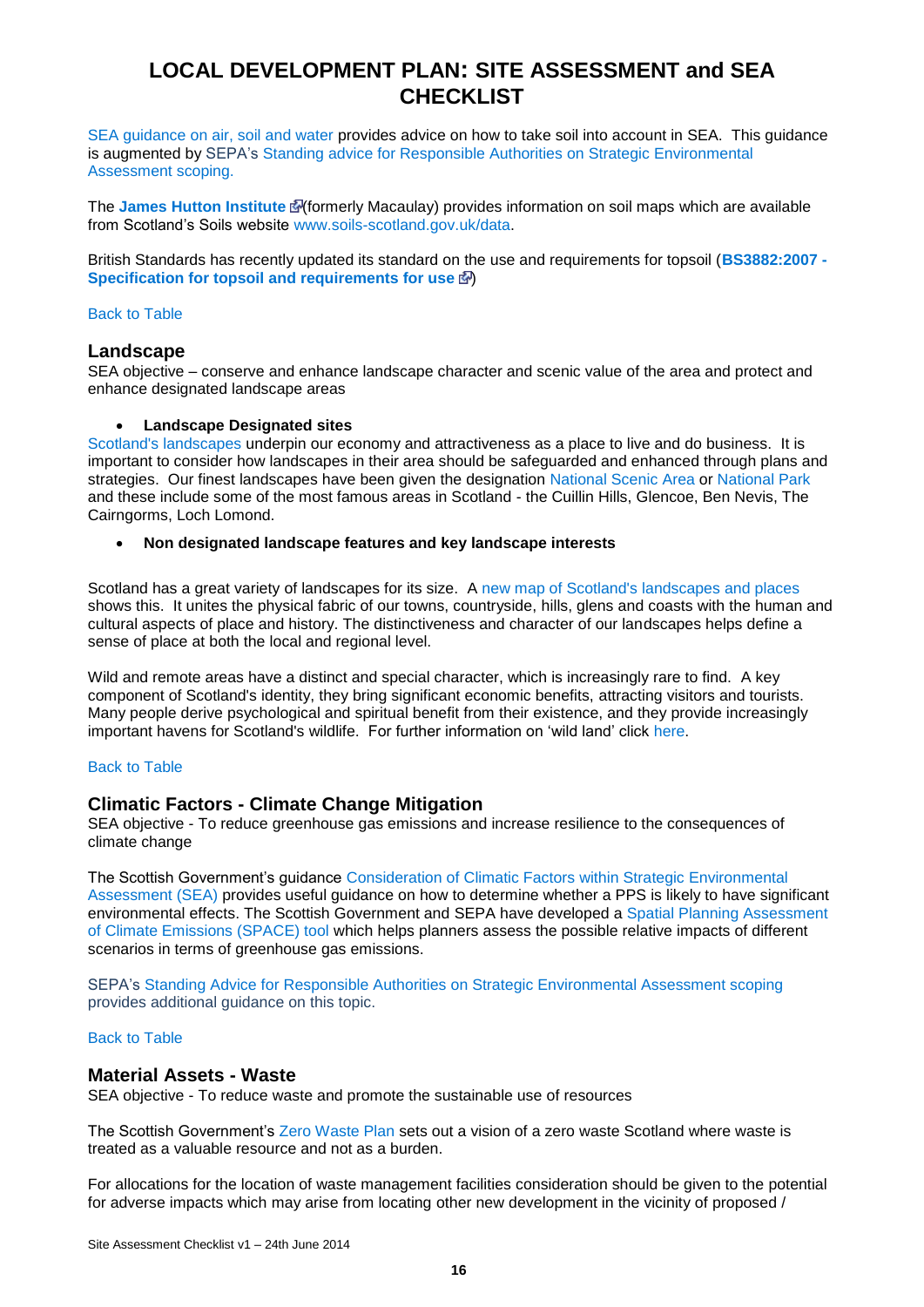<span id="page-15-2"></span><span id="page-15-1"></span>[SEA guidance on air, soil and water](http://www.sepa.org.uk/environment/land/planning/strategic-environmental-assessment) provides advice on how to take soil into account in SEA. This guidance is augmented by SEPA's [Standing advice for Responsible Authorities on Strategic Environmental](http://www.sepa.org.uk/media/147606/advice-for-responsible-authorities-on-sea.pdf)  [Assessment scoping.](http://www.sepa.org.uk/media/147606/advice-for-responsible-authorities-on-sea.pdf)

The **[James Hutton Institute](http://www.macaulayscientific.com/products_maps_list.php)**  $\mathbb{E}$  (formerly Macaulay) provides information on soil maps which are available from Scotland's Soils website [www.soils-scotland.gov.uk/data.](http://www.soils-scotland.gov.uk/data)

British Standards has recently updated its standard on the use and requirements for topsoil (**[BS3882:2007 -](http://shop.bsigroup.com/en/ProductDetail/?pid=000000000030173907) [Specification for topsoil and requirements for use](http://shop.bsigroup.com/en/ProductDetail/?pid=000000000030173907) <a>** 

### <span id="page-15-3"></span>[Back to Table](#page-5-0)

### **Landscape**

SEA objective – conserve and enhance landscape character and scenic value of the area and protect and enhance designated landscape areas

### **Landscape Designated sites**

<span id="page-15-0"></span>[Scotland's landscapes](http://www.snh.gov.uk/about-scotlands-nature/scotlands-landscapes) underpin our economy and attractiveness as a place to live and do business. It is important to consider how landscapes in their area should be safeguarded and enhanced through plans and strategies. Our finest landscapes have been given the designation [National Scenic Area](http://www.snh.gov.uk/protecting-scotlands-nature/protected-areas/national-designations/nsa) or [National Park](http://www.snh.gov.uk/protecting-scotlands-nature/protected-areas/national-designations/national-parks) and these include some of the most famous areas in Scotland - the Cuillin Hills, Glencoe, Ben Nevis, The Cairngorms, Loch Lomond.

#### **Non designated landscape features and key landscape interests**

Scotland has a great variety of landscapes for its size. A [new map of Scotland's landscapes and places](http://www.snh.gov.uk/docs/A736465.pdf)  shows this. It unites the physical fabric of our towns, countryside, hills, glens and coasts with the human and cultural aspects of place and history. The distinctiveness and character of our landscapes helps define a sense of place at both the local and regional level.

<span id="page-15-4"></span>Wild and remote areas have a distinct and special character, which is increasingly rare to find. A key component of Scotland's identity, they bring significant economic benefits, attracting visitors and tourists. Many people derive psychological and spiritual benefit from their existence, and they provide increasingly important havens for Scotland's wildlife. For further information on 'wild land' click [here.](http://www.snh.gov.uk/protecting-scotlands-nature/looking-after-landscapes/landscape-policy-and-guidance/wild-land/)

### [Back to Table](#page-6-0)

### **Climatic Factors - Climate Change Mitigation**

SEA objective - To reduce greenhouse gas emissions and increase resilience to the consequences of climate change

The Scottish Government's guidance [Consideration of Climatic Factors within Strategic Environmental](http://www.scotland.gov.uk/Publications/2010/03/18102927/0)  [Assessment \(SEA\)](http://www.scotland.gov.uk/Publications/2010/03/18102927/0) provides useful guidance on how to determine whether a PPS is likely to have significant environmental effects. The Scottish Government and SEPA have developed a [Spatial Planning Assessment](http://www.scotland.gov.uk/Resource/0039/00390167.xls)  [of Climate Emissions \(SPACE\) tool](http://www.scotland.gov.uk/Resource/0039/00390167.xls) which helps planners assess the possible relative impacts of different scenarios in terms of greenhouse gas emissions.

SEPA's [Standing Advice for Responsible Authorities on Strategic Environmental Assessment scoping](http://www.sepa.org.uk/media/147606/advice-for-responsible-authorities-on-sea.pdf) provides additional guidance on this topic.

### [Back to Table](#page-3-1)

### **Material Assets - Waste**

SEA objective - To reduce waste and promote the sustainable use of resources

The Scottish Government's [Zero Waste Plan](http://www.scotland.gov.uk/Topics/Environment/waste-and-pollution/Waste-1/wastestrategy) sets out a vision of a zero waste Scotland where waste is treated as a valuable resource and not as a burden.

For allocations for the location of waste management facilities consideration should be given to the potential for adverse impacts which may arise from locating other new development in the vicinity of proposed /